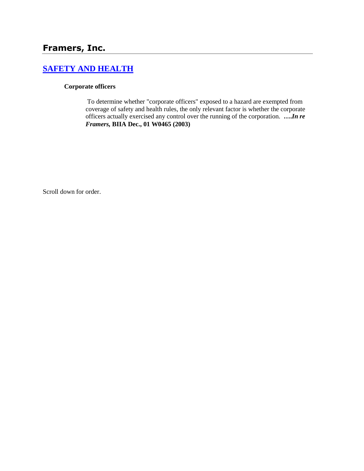# **[SAFETY AND HEALTH](http://www.biia.wa.gov/SDSubjectIndex.html#SAFETY_AND_HEALTH)**

#### **Corporate officers**

To determine whether "corporate officers" exposed to a hazard are exempted from coverage of safety and health rules, the only relevant factor is whether the corporate officers actually exercised any control over the running of the corporation. **….***In re Framers,* **BIIA Dec., 01 W0465 (2003)** 

Scroll down for order.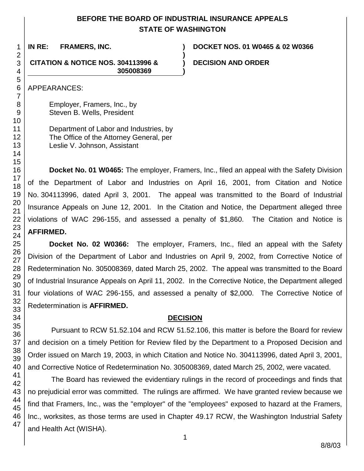## **BEFORE THE BOARD OF INDUSTRIAL INSURANCE APPEALS STATE OF WASHINGTON**

**)**

47

1

**IN RE: FRAMERS, INC. ) DOCKET NOS. 01 W0465 & 02 W0366**

**CITATION & NOTICE NOS. 304113996 & ) DECISION AND ORDER 305008369 )**

APPEARANCES:

Employer, Framers, Inc., by Steven B. Wells, President

Department of Labor and Industries, by The Office of the Attorney General, per Leslie V. Johnson, Assistant

**Docket No. 01 W0465:** The employer, Framers, Inc., filed an appeal with the Safety Division of the Department of Labor and Industries on April 16, 2001, from Citation and Notice No. 304113996, dated April 3, 2001. The appeal was transmitted to the Board of Industrial Insurance Appeals on June 12, 2001. In the Citation and Notice, the Department alleged three violations of WAC 296-155, and assessed a penalty of \$1,860. The Citation and Notice is **AFFIRMED.**

**Docket No. 02 W0366:** The employer, Framers, Inc., filed an appeal with the Safety Division of the Department of Labor and Industries on April 9, 2002, from Corrective Notice of Redetermination No. 305008369, dated March 25, 2002. The appeal was transmitted to the Board of Industrial Insurance Appeals on April 11, 2002. In the Corrective Notice, the Department alleged four violations of WAC 296-155, and assessed a penalty of \$2,000. The Corrective Notice of Redetermination is **AFFIRMED.**

## **DECISION**

Pursuant to RCW 51.52.104 and RCW 51.52.106, this matter is before the Board for review and decision on a timely Petition for Review filed by the Department to a Proposed Decision and Order issued on March 19, 2003, in which Citation and Notice No. 304113996, dated April 3, 2001, and Corrective Notice of Redetermination No. 305008369, dated March 25, 2002, were vacated.

The Board has reviewed the evidentiary rulings in the record of proceedings and finds that no prejudicial error was committed. The rulings are affirmed. We have granted review because we find that Framers, Inc., was the "employer" of the "employees" exposed to hazard at the Framers, Inc., worksites, as those terms are used in Chapter 49.17 RCW, the Washington Industrial Safety and Health Act (WISHA).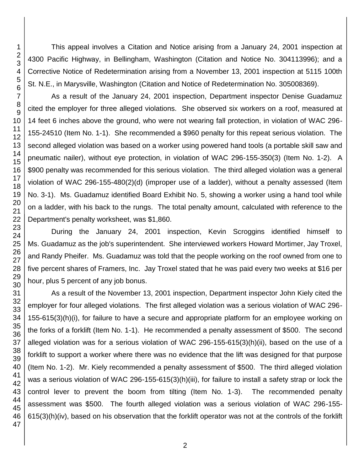This appeal involves a Citation and Notice arising from a January 24, 2001 inspection at 4300 Pacific Highway, in Bellingham, Washington (Citation and Notice No. 304113996); and a Corrective Notice of Redetermination arising from a November 13, 2001 inspection at 5115 100th St. N.E., in Marysville, Washington (Citation and Notice of Redetermination No. 305008369).

As a result of the January 24, 2001 inspection, Department inspector Denise Guadamuz cited the employer for three alleged violations. She observed six workers on a roof, measured at 14 feet 6 inches above the ground, who were not wearing fall protection, in violation of WAC 296- 155-24510 (Item No. 1-1). She recommended a \$960 penalty for this repeat serious violation. The second alleged violation was based on a worker using powered hand tools (a portable skill saw and pneumatic nailer), without eye protection, in violation of WAC 296-155-350(3) (Item No. 1-2). A \$900 penalty was recommended for this serious violation. The third alleged violation was a general violation of WAC 296-155-480(2)(d) (improper use of a ladder), without a penalty assessed (Item No. 3-1). Ms. Guadamuz identified Board Exhibit No. 5, showing a worker using a hand tool while on a ladder, with his back to the rungs. The total penalty amount, calculated with reference to the Department's penalty worksheet, was \$1,860.

During the January 24, 2001 inspection, Kevin Scroggins identified himself to Ms. Guadamuz as the job's superintendent. She interviewed workers Howard Mortimer, Jay Troxel, and Randy Pheifer. Ms. Guadamuz was told that the people working on the roof owned from one to five percent shares of Framers, Inc. Jay Troxel stated that he was paid every two weeks at \$16 per hour, plus 5 percent of any job bonus.

As a result of the November 13, 2001 inspection, Department inspector John Kiely cited the employer for four alleged violations. The first alleged violation was a serious violation of WAC 296- 155-615(3)(h)(i), for failure to have a secure and appropriate platform for an employee working on the forks of a forklift (Item No. 1-1). He recommended a penalty assessment of \$500. The second alleged violation was for a serious violation of WAC 296-155-615(3)(h)(ii), based on the use of a forklift to support a worker where there was no evidence that the lift was designed for that purpose (Item No. 1-2). Mr. Kiely recommended a penalty assessment of \$500. The third alleged violation was a serious violation of WAC 296-155-615(3)(h)(iii), for failure to install a safety strap or lock the control lever to prevent the boom from tilting (Item No. 1-3). The recommended penalty assessment was \$500. The fourth alleged violation was a serious violation of WAC 296-155- 615(3)(h)(iv), based on his observation that the forklift operator was not at the controls of the forklift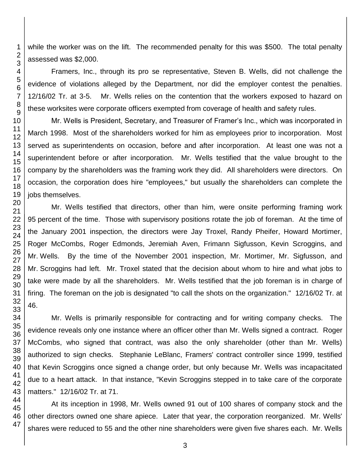while the worker was on the lift. The recommended penalty for this was \$500. The total penalty assessed was \$2,000.

Framers, Inc., through its pro se representative, Steven B. Wells, did not challenge the evidence of violations alleged by the Department, nor did the employer contest the penalties. 12/16/02 Tr. at 3-5. Mr. Wells relies on the contention that the workers exposed to hazard on these worksites were corporate officers exempted from coverage of health and safety rules.

Mr. Wells is President, Secretary, and Treasurer of Framer's Inc., which was incorporated in March 1998. Most of the shareholders worked for him as employees prior to incorporation. Most served as superintendents on occasion, before and after incorporation. At least one was not a superintendent before or after incorporation. Mr. Wells testified that the value brought to the company by the shareholders was the framing work they did. All shareholders were directors. On occasion, the corporation does hire "employees," but usually the shareholders can complete the jobs themselves.

Mr. Wells testified that directors, other than him, were onsite performing framing work percent of the time. Those with supervisory positions rotate the job of foreman. At the time of the January 2001 inspection, the directors were Jay Troxel, Randy Pheifer, Howard Mortimer, Roger McCombs, Roger Edmonds, Jeremiah Aven, Frimann Sigfusson, Kevin Scroggins, and Mr. Wells. By the time of the November 2001 inspection, Mr. Mortimer, Mr. Sigfusson, and Mr. Scroggins had left. Mr. Troxel stated that the decision about whom to hire and what jobs to take were made by all the shareholders. Mr. Wells testified that the job foreman is in charge of firing. The foreman on the job is designated "to call the shots on the organization." 12/16/02 Tr. at 46.

Mr. Wells is primarily responsible for contracting and for writing company checks. The evidence reveals only one instance where an officer other than Mr. Wells signed a contract. Roger McCombs, who signed that contract, was also the only shareholder (other than Mr. Wells) authorized to sign checks. Stephanie LeBlanc, Framers' contract controller since 1999, testified that Kevin Scroggins once signed a change order, but only because Mr. Wells was incapacitated due to a heart attack. In that instance, "Kevin Scroggins stepped in to take care of the corporate matters." 12/16/02 Tr. at 71.

At its inception in 1998, Mr. Wells owned 91 out of 100 shares of company stock and the other directors owned one share apiece. Later that year, the corporation reorganized. Mr. Wells' shares were reduced to 55 and the other nine shareholders were given five shares each. Mr. Wells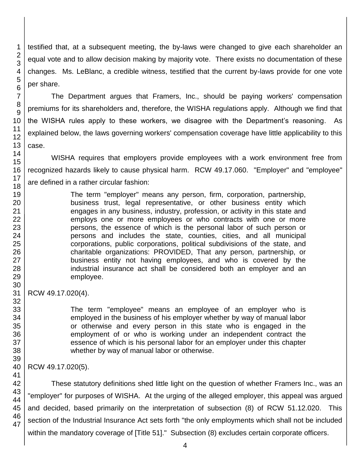testified that, at a subsequent meeting, the by-laws were changed to give each shareholder an equal vote and to allow decision making by majority vote. There exists no documentation of these changes. Ms. LeBlanc, a credible witness, testified that the current by-laws provide for one vote per share.

The Department argues that Framers, Inc., should be paying workers' compensation premiums for its shareholders and, therefore, the WISHA regulations apply. Although we find that the WISHA rules apply to these workers, we disagree with the Department's reasoning. As explained below, the laws governing workers' compensation coverage have little applicability to this case.

WISHA requires that employers provide employees with a work environment free from recognized hazards likely to cause physical harm. RCW 49.17.060. "Employer" and "employee" are defined in a rather circular fashion:

> The term "employer" means any person, firm, corporation, partnership, business trust, legal representative, or other business entity which engages in any business, industry, profession, or activity in this state and employs one or more employees or who contracts with one or more persons, the essence of which is the personal labor of such person or persons and includes the state, counties, cities, and all municipal corporations, public corporations, political subdivisions of the state, and charitable organizations: PROVIDED, That any person, partnership, or business entity not having employees, and who is covered by the industrial insurance act shall be considered both an employer and an employee.

### RCW 49.17.020(4).

The term "employee" means an employee of an employer who is employed in the business of his employer whether by way of manual labor or otherwise and every person in this state who is engaged in the employment of or who is working under an independent contract the essence of which is his personal labor for an employer under this chapter whether by way of manual labor or otherwise.

RCW 49.17.020(5).

These statutory definitions shed little light on the question of whether Framers Inc., was an "employer" for purposes of WISHA. At the urging of the alleged employer, this appeal was argued and decided, based primarily on the interpretation of subsection (8) of RCW 51.12.020. This section of the Industrial Insurance Act sets forth "the only employments which shall not be included within the mandatory coverage of [Title 51]." Subsection (8) excludes certain corporate officers.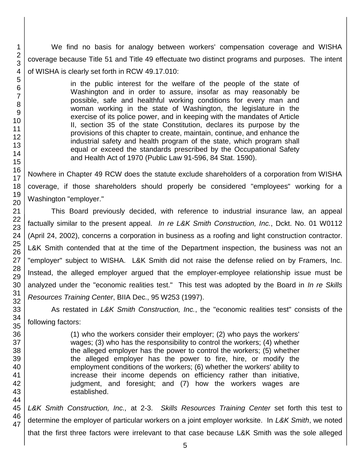We find no basis for analogy between workers' compensation coverage and WISHA coverage because Title 51 and Title 49 effectuate two distinct programs and purposes. The intent of WISHA is clearly set forth in RCW 49.17.010:

> in the public interest for the welfare of the people of the state of Washington and in order to assure, insofar as may reasonably be possible, safe and healthful working conditions for every man and woman working in the state of Washington, the legislature in the exercise of its police power, and in keeping with the mandates of Article II, section 35 of the state Constitution, declares its purpose by the provisions of this chapter to create, maintain, continue, and enhance the industrial safety and health program of the state, which program shall equal or exceed the standards prescribed by the Occupational Safety and Health Act of 1970 (Public Law 91-596, 84 Stat. 1590).

Nowhere in Chapter 49 RCW does the statute exclude shareholders of a corporation from WISHA coverage, if those shareholders should properly be considered "employees" working for a Washington "employer."

This Board previously decided, with reference to industrial insurance law, an appeal factually similar to the present appeal. *In re L&K Smith Construction, Inc.*, Dckt. No. 01 W0112 (April 24, 2002), concerns a corporation in business as a roofing and light construction contractor. L&K Smith contended that at the time of the Department inspection, the business was not an "employer" subject to WISHA. L&K Smith did not raise the defense relied on by Framers, Inc. Instead, the alleged employer argued that the employer-employee relationship issue must be analyzed under the "economic realities test." This test was adopted by the Board in *In re Skills Resources Training Center*, BIIA Dec., 95 W253 (1997).

As restated in *L&K Smith Construction, Inc.*, the "economic realities test" consists of the following factors:

> (1) who the workers consider their employer; (2) who pays the workers' wages; (3) who has the responsibility to control the workers; (4) whether the alleged employer has the power to control the workers; (5) whether the alleged employer has the power to fire, hire, or modify the employment conditions of the workers; (6) whether the workers' ability to increase their income depends on efficiency rather than initiative, judgment, and foresight; and (7) how the workers wages are established.

*L&K Smith Construction, Inc.,* at 2-3. *Skills Resources Training Center* set forth this test to determine the employer of particular workers on a joint employer worksite. In *L&K Smith*, we noted that the first three factors were irrelevant to that case because L&K Smith was the sole alleged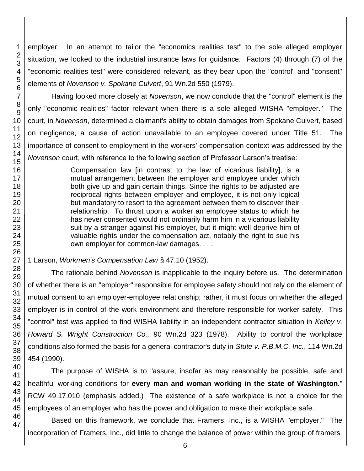employer. In an attempt to tailor the "economics realities test" to the sole alleged employer situation, we looked to the industrial insurance laws for guidance. Factors (4) through (7) of the "economic realities test" were considered relevant, as they bear upon the "control" and "consent" elements of *Novenson v. Spokane Culvert*, 91 Wn.2d 550 (1979).

Having looked more closely at *Novenson*, we now conclude that the "control" element is the only "economic realities" factor relevant when there is a sole alleged WISHA "employer." The court, in *Novenson*, determined a claimant's ability to obtain damages from Spokane Culvert, based on negligence, a cause of action unavailable to an employee covered under Title 51. The importance of consent to employment in the workers' compensation context was addressed by the *Novenson* court, with reference to the following section of Professor Larson's treatise:

> Compensation law [in contrast to the law of vicarious liability], is a mutual arrangement between the employer and employee under which both give up and gain certain things. Since the rights to be adjusted are reciprocal rights between employer and employee, it is not only logical but mandatory to resort to the agreement between them to discover their relationship. To thrust upon a worker an employee status to which he has never consented would not ordinarily harm him in a vicarious liability suit by a stranger against his employer, but it might well deprive him of valuable rights under the compensation act, notably the right to sue his own employer for common-law damages. . . .

1 Larson, *Workmen's Compensation Law* § 47.10 (1952).

The rationale behind *Novenson* is inapplicable to the inquiry before us. The determination of whether there is an "employer" responsible for employee safety should not rely on the element of mutual consent to an employer-employee relationship; rather, it must focus on whether the alleged employer is in control of the work environment and therefore responsible for worker safety. This "control" test was applied to find WISHA liability in an independent contractor situation in *Kelley v. Howard S. Wright Construction Co.,* 90 Wn.2d 323 (1978). Ability to control the workplace conditions also formed the basis for a general contractor's duty in *Stute v. P.B.M.C. Inc.*, 114 Wn.2d 454 (1990).

The purpose of WISHA is to "assure, insofar as may reasonably be possible, safe and healthful working conditions for **every man and woman working in the state of Washington***.*" RCW 49.17.010 (emphasis added.) The existence of a safe workplace is not a choice for the employees of an employer who has the power and obligation to make their workplace safe.

Based on this framework, we conclude that Framers, Inc., is a WISHA "employer." The incorporation of Framers, Inc., did little to change the balance of power within the group of framers.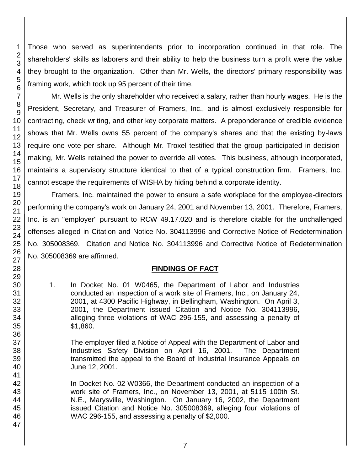Those who served as superintendents prior to incorporation continued in that role. The shareholders' skills as laborers and their ability to help the business turn a profit were the value they brought to the organization. Other than Mr. Wells, the directors' primary responsibility was framing work, which took up 95 percent of their time.

Mr. Wells is the only shareholder who received a salary, rather than hourly wages. He is the President, Secretary, and Treasurer of Framers, Inc., and is almost exclusively responsible for contracting, check writing, and other key corporate matters. A preponderance of credible evidence shows that Mr. Wells owns 55 percent of the company's shares and that the existing by-laws require one vote per share. Although Mr. Troxel testified that the group participated in decisionmaking, Mr. Wells retained the power to override all votes. This business, although incorporated, maintains a supervisory structure identical to that of a typical construction firm. Framers, Inc. cannot escape the requirements of WISHA by hiding behind a corporate identity.

Framers, Inc. maintained the power to ensure a safe workplace for the employee-directors performing the company's work on January 24, 2001 and November 13, 2001. Therefore, Framers, Inc. is an "employer" pursuant to RCW 49.17.020 and is therefore citable for the unchallenged offenses alleged in Citation and Notice No. 304113996 and Corrective Notice of Redetermination No. 305008369. Citation and Notice No. 304113996 and Corrective Notice of Redetermination No. 305008369 are affirmed.

## **FINDINGS OF FACT**

1. In Docket No. 01 W0465, the Department of Labor and Industries conducted an inspection of a work site of Framers, Inc., on January 24, 2001, at 4300 Pacific Highway, in Bellingham, Washington. On April 3, 2001, the Department issued Citation and Notice No. 304113996, alleging three violations of WAC 296-155, and assessing a penalty of \$1,860.

The employer filed a Notice of Appeal with the Department of Labor and Industries Safety Division on April 16, 2001. The Department transmitted the appeal to the Board of Industrial Insurance Appeals on June 12, 2001.

In Docket No. 02 W0366, the Department conducted an inspection of a work site of Framers, Inc., on November 13, 2001, at 5115 100th St. N.E., Marysville, Washington. On January 16, 2002, the Department issued Citation and Notice No. 305008369, alleging four violations of WAC 296-155, and assessing a penalty of \$2,000.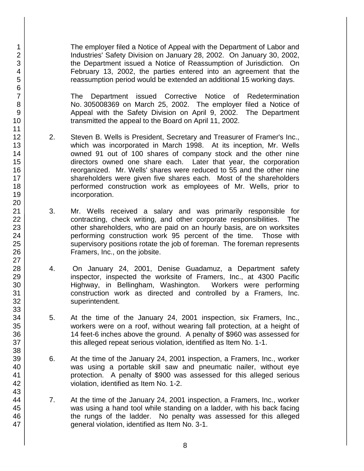The employer filed a Notice of Appeal with the Department of Labor and Industries' Safety Division on January 28, 2002. On January 30, 2002, the Department issued a Notice of Reassumption of Jurisdiction. On February 13, 2002, the parties entered into an agreement that the reassumption period would be extended an additional 15 working days.

The Department issued Corrective Notice of Redetermination No. 305008369 on March 25, 2002. The employer filed a Notice of Appeal with the Safety Division on April 9, 2002. The Department transmitted the appeal to the Board on April 11, 2002.

- 2. Steven B. Wells is President, Secretary and Treasurer of Framer's Inc., which was incorporated in March 1998. At its inception, Mr. Wells owned 91 out of 100 shares of company stock and the other nine directors owned one share each. Later that year, the corporation reorganized. Mr. Wells' shares were reduced to 55 and the other nine shareholders were given five shares each. Most of the shareholders performed construction work as employees of Mr. Wells, prior to incorporation.
- 3. Mr. Wells received a salary and was primarily responsible for contracting, check writing, and other corporate responsibilities. The other shareholders, who are paid on an hourly basis, are on worksites performing construction work 95 percent of the time. Those with supervisory positions rotate the job of foreman. The foreman represents Framers, Inc., on the jobsite.
- 4. On January 24, 2001, Denise Guadamuz, a Department safety inspector, inspected the worksite of Framers, Inc., at 4300 Pacific Highway, in Bellingham, Washington. Workers were performing construction work as directed and controlled by a Framers, Inc. superintendent.
- 5. At the time of the January 24, 2001 inspection, six Framers, Inc., workers were on a roof, without wearing fall protection, at a height of 14 feet-6 inches above the ground. A penalty of \$960 was assessed for this alleged repeat serious violation, identified as Item No. 1-1.
- 6. At the time of the January 24, 2001 inspection, a Framers, Inc., worker was using a portable skill saw and pneumatic nailer, without eye protection. A penalty of \$900 was assessed for this alleged serious violation, identified as Item No. 1-2.
- 7. At the time of the January 24, 2001 inspection, a Framers, Inc., worker was using a hand tool while standing on a ladder, with his back facing the rungs of the ladder. No penalty was assessed for this alleged general violation, identified as Item No. 3-1.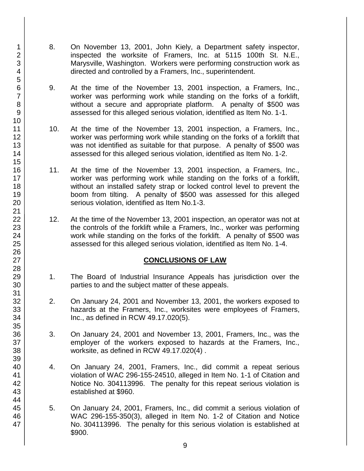- 8. On November 13, 2001, John Kiely, a Department safety inspector, inspected the worksite of Framers, Inc. at 5115 100th St. N.E., Marysville, Washington. Workers were performing construction work as directed and controlled by a Framers, Inc., superintendent.
- 9. At the time of the November 13, 2001 inspection, a Framers, Inc., worker was performing work while standing on the forks of a forklift, without a secure and appropriate platform. A penalty of \$500 was assessed for this alleged serious violation, identified as Item No. 1-1.
- 10. At the time of the November 13, 2001 inspection, a Framers, Inc., worker was performing work while standing on the forks of a forklift that was not identified as suitable for that purpose. A penalty of \$500 was assessed for this alleged serious violation, identified as Item No. 1-2.
- 11. At the time of the November 13, 2001 inspection, a Framers, Inc., worker was performing work while standing on the forks of a forklift, without an installed safety strap or locked control level to prevent the boom from tilting. A penalty of \$500 was assessed for this alleged serious violation, identified as Item No.1-3.
- 12. At the time of the November 13, 2001 inspection, an operator was not at the controls of the forklift while a Framers, Inc., worker was performing work while standing on the forks of the forklift. A penalty of \$500 was assessed for this alleged serious violation, identified as Item No. 1-4.

### **CONCLUSIONS OF LAW**

- 1. The Board of Industrial Insurance Appeals has jurisdiction over the parties to and the subject matter of these appeals.
- 2. On January 24, 2001 and November 13, 2001, the workers exposed to hazards at the Framers, Inc., worksites were employees of Framers, Inc., as defined in RCW 49.17.020(5).
- 3. On January 24, 2001 and November 13, 2001, Framers, Inc., was the employer of the workers exposed to hazards at the Framers, Inc., worksite, as defined in RCW 49.17.020(4) .
- 4. On January 24, 2001, Framers, Inc., did commit a repeat serious violation of WAC 296-155-24510, alleged in Item No. 1-1 of Citation and Notice No. 304113996. The penalty for this repeat serious violation is established at \$960.
- 5. On January 24, 2001, Framers, Inc., did commit a serious violation of WAC 296-155-350(3), alleged in Item No. 1-2 of Citation and Notice No. 304113996. The penalty for this serious violation is established at \$900.